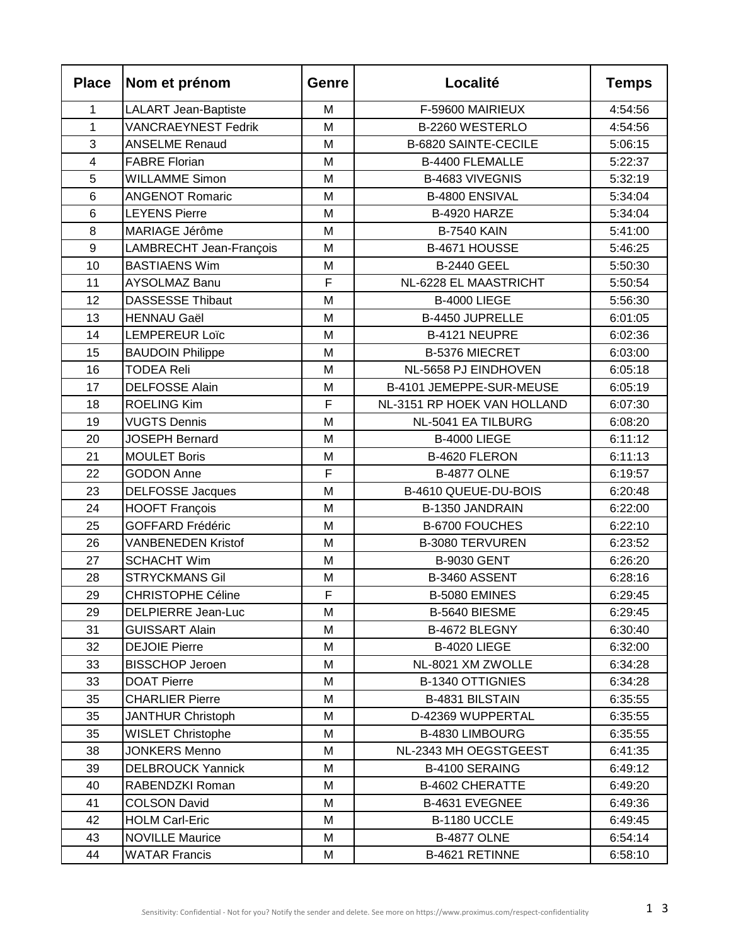| <b>Place</b>            | Nom et prénom              | Genre | Localité                    | <b>Temps</b> |
|-------------------------|----------------------------|-------|-----------------------------|--------------|
| 1                       | LALART Jean-Baptiste       | M     | F-59600 MAIRIEUX            | 4:54:56      |
| $\mathbf{1}$            | <b>VANCRAEYNEST Fedrik</b> | M     | B-2260 WESTERLO             | 4:54:56      |
| 3                       | <b>ANSELME Renaud</b>      | M     | <b>B-6820 SAINTE-CECILE</b> | 5:06:15      |
| $\overline{\mathbf{4}}$ | <b>FABRE Florian</b>       | M     | <b>B-4400 FLEMALLE</b>      | 5:22:37      |
| 5                       | <b>WILLAMME Simon</b>      | M     | B-4683 VIVEGNIS             | 5:32:19      |
| 6                       | <b>ANGENOT Romaric</b>     | M     | B-4800 ENSIVAL              | 5:34:04      |
| 6                       | <b>LEYENS Pierre</b>       | M     | B-4920 HARZE                | 5:34:04      |
| 8                       | MARIAGE Jérôme             | M     | <b>B-7540 KAIN</b>          | 5:41:00      |
| 9                       | LAMBRECHT Jean-François    | M     | B-4671 HOUSSE               | 5:46:25      |
| 10                      | <b>BASTIAENS Wim</b>       | M     | <b>B-2440 GEEL</b>          | 5:50:30      |
| 11                      | <b>AYSOLMAZ Banu</b>       | F     | NL-6228 EL MAASTRICHT       | 5:50:54      |
| 12                      | <b>DASSESSE Thibaut</b>    | M     | <b>B-4000 LIEGE</b>         | 5:56:30      |
| 13                      | <b>HENNAU Gaël</b>         | M     | B-4450 JUPRELLE             | 6:01:05      |
| 14                      | <b>LEMPEREUR Loïc</b>      | M     | B-4121 NEUPRE               | 6:02:36      |
| 15                      | <b>BAUDOIN Philippe</b>    | M     | B-5376 MIECRET              | 6:03:00      |
| 16                      | <b>TODEA Reli</b>          | M     | NL-5658 PJ EINDHOVEN        | 6:05:18      |
| 17                      | <b>DELFOSSE Alain</b>      | M     | B-4101 JEMEPPE-SUR-MEUSE    | 6:05:19      |
| 18                      | <b>ROELING Kim</b>         | F     | NL-3151 RP HOEK VAN HOLLAND | 6:07:30      |
| 19                      | <b>VUGTS Dennis</b>        | M     | NL-5041 EA TILBURG          | 6:08:20      |
| 20                      | <b>JOSEPH Bernard</b>      | M     | B-4000 LIEGE                | 6:11:12      |
| 21                      | <b>MOULET Boris</b>        | M     | B-4620 FLERON               | 6:11:13      |
| 22                      | <b>GODON Anne</b>          | F     | <b>B-4877 OLNE</b>          | 6:19:57      |
| 23                      | <b>DELFOSSE Jacques</b>    | M     | B-4610 QUEUE-DU-BOIS        | 6:20:48      |
| 24                      | <b>HOOFT François</b>      | М     | B-1350 JANDRAIN             | 6:22:00      |
| 25                      | <b>GOFFARD Frédéric</b>    | M     | B-6700 FOUCHES              | 6:22:10      |
| 26                      | <b>VANBENEDEN Kristof</b>  | M     | <b>B-3080 TERVUREN</b>      | 6:23:52      |
| 27                      | <b>SCHACHT Wim</b>         | M     | <b>B-9030 GENT</b>          | 6:26:20      |
| 28                      | <b>STRYCKMANS Gil</b>      | M     | B-3460 ASSENT               | 6:28:16      |
| 29                      | <b>CHRISTOPHE Céline</b>   | F     | B-5080 EMINES               | 6:29:45      |
| 29                      | DELPIERRE Jean-Luc         | м     | B-5640 BIESME               | 6:29:45      |
| 31                      | <b>GUISSART Alain</b>      | М     | B-4672 BLEGNY               | 6:30:40      |
| 32                      | <b>DEJOIE Pierre</b>       | M     | <b>B-4020 LIEGE</b>         | 6:32:00      |
| 33                      | <b>BISSCHOP Jeroen</b>     | М     | NL-8021 XM ZWOLLE           | 6:34:28      |
| 33                      | <b>DOAT Pierre</b>         | М     | <b>B-1340 OTTIGNIES</b>     | 6:34:28      |
| 35                      | <b>CHARLIER Pierre</b>     | М     | B-4831 BILSTAIN             | 6:35:55      |
| 35                      | <b>JANTHUR Christoph</b>   | М     | D-42369 WUPPERTAL           | 6:35:55      |
| 35                      | <b>WISLET Christophe</b>   | М     | B-4830 LIMBOURG             | 6:35:55      |
| 38                      | <b>JONKERS Menno</b>       | Μ     | NL-2343 MH OEGSTGEEST       | 6:41:35      |
| 39                      | <b>DELBROUCK Yannick</b>   | M     | B-4100 SERAING              | 6:49:12      |
| 40                      | RABENDZKI Roman            | М     | <b>B-4602 CHERATTE</b>      | 6:49:20      |
| 41                      | <b>COLSON David</b>        | Μ     | B-4631 EVEGNEE              | 6:49:36      |
| 42                      | <b>HOLM Carl-Eric</b>      | Μ     | B-1180 UCCLE                | 6:49:45      |
| 43                      | <b>NOVILLE Maurice</b>     | Μ     | <b>B-4877 OLNE</b>          | 6:54:14      |
| 44                      | <b>WATAR Francis</b>       | M     | B-4621 RETINNE              | 6:58:10      |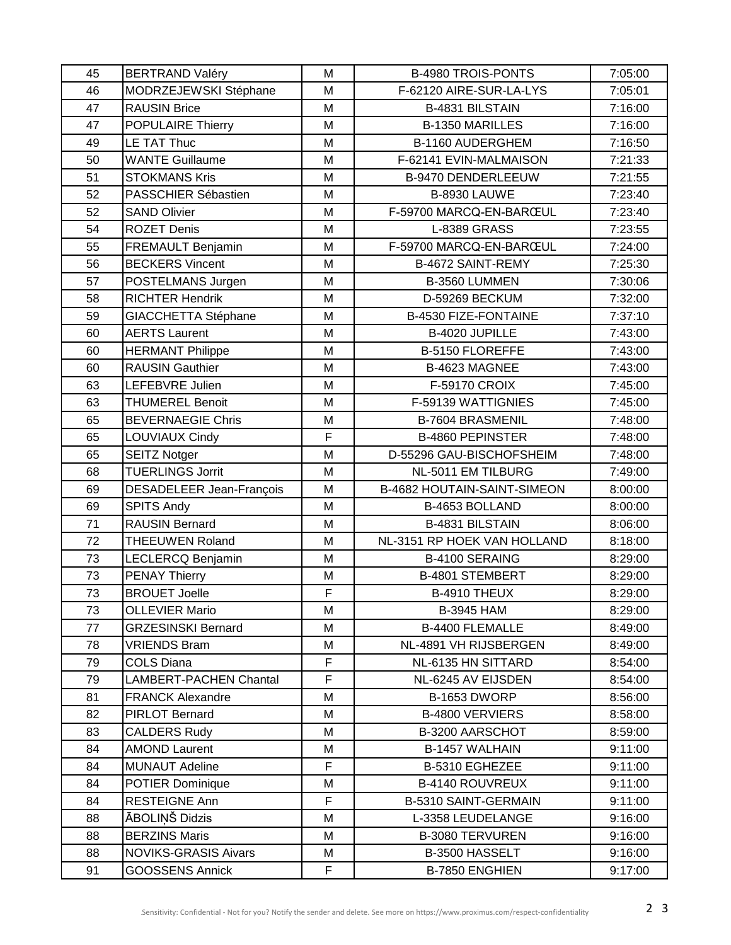| 45 | <b>BERTRAND Valéry</b>        | M  | <b>B-4980 TROIS-PONTS</b>   | 7:05:00 |
|----|-------------------------------|----|-----------------------------|---------|
| 46 | MODRZEJEWSKI Stéphane         | M  | F-62120 AIRE-SUR-LA-LYS     | 7:05:01 |
| 47 | <b>RAUSIN Brice</b>           | M  | B-4831 BILSTAIN             | 7:16:00 |
| 47 | <b>POPULAIRE Thierry</b>      | M  | <b>B-1350 MARILLES</b>      | 7:16:00 |
| 49 | LE TAT Thuc                   | M  | B-1160 AUDERGHEM            | 7:16:50 |
| 50 | <b>WANTE Guillaume</b>        | M  | F-62141 EVIN-MALMAISON      | 7:21:33 |
| 51 | <b>STOKMANS Kris</b>          | M  | B-9470 DENDERLEEUW          | 7:21:55 |
| 52 | PASSCHIER Sébastien           | M  | B-8930 LAUWE                | 7:23:40 |
| 52 | <b>SAND Olivier</b>           | M  | F-59700 MARCQ-EN-BARŒUL     | 7:23:40 |
| 54 | <b>ROZET Denis</b>            | M  | <b>L-8389 GRASS</b>         | 7:23:55 |
| 55 | FREMAULT Benjamin             | M  | F-59700 MARCQ-EN-BARŒUL     | 7:24:00 |
| 56 | <b>BECKERS Vincent</b>        | M  | B-4672 SAINT-REMY           | 7:25:30 |
| 57 | POSTELMANS Jurgen             | M  | B-3560 LUMMEN               | 7:30:06 |
| 58 | <b>RICHTER Hendrik</b>        | M  | D-59269 BECKUM              | 7:32:00 |
| 59 | GIACCHETTA Stéphane           | M  | <b>B-4530 FIZE-FONTAINE</b> | 7:37:10 |
| 60 | <b>AERTS Laurent</b>          | M  | B-4020 JUPILLE              | 7:43:00 |
| 60 | <b>HERMANT Philippe</b>       | M  | B-5150 FLOREFFE             | 7:43:00 |
| 60 | <b>RAUSIN Gauthier</b>        | M  | B-4623 MAGNEE               | 7:43:00 |
| 63 | LEFEBVRE Julien               | M  | <b>F-59170 CROIX</b>        | 7:45:00 |
| 63 | <b>THUMEREL Benoit</b>        | M  | F-59139 WATTIGNIES          | 7:45:00 |
| 65 | <b>BEVERNAEGIE Chris</b>      | M  | <b>B-7604 BRASMENIL</b>     | 7:48:00 |
| 65 | LOUVIAUX Cindy                | F  | <b>B-4860 PEPINSTER</b>     | 7:48:00 |
| 65 | <b>SEITZ Notger</b>           | M  | D-55296 GAU-BISCHOFSHEIM    | 7:48:00 |
| 68 | <b>TUERLINGS Jorrit</b>       | M  | NL-5011 EM TILBURG          | 7:49:00 |
| 69 | DESADELEER Jean-François      | M  | B-4682 HOUTAIN-SAINT-SIMEON | 8:00:00 |
| 69 | <b>SPITS Andy</b>             | M  | B-4653 BOLLAND              | 8:00:00 |
| 71 | <b>RAUSIN Bernard</b>         | M  | B-4831 BILSTAIN             | 8:06:00 |
| 72 | <b>THEEUWEN Roland</b>        | M  | NL-3151 RP HOEK VAN HOLLAND | 8:18:00 |
| 73 | LECLERCQ Benjamin             | M  | B-4100 SERAING              | 8:29:00 |
| 73 | <b>PENAY Thierry</b>          | M  | B-4801 STEMBERT             | 8:29:00 |
| 73 | <b>BROUET Joelle</b>          | F  | <b>B-4910 THEUX</b>         | 8:29:00 |
| 73 | <b>OLLEVIER Mario</b>         | M  | <b>B-3945 HAM</b>           | 8:29:00 |
| 77 | <b>GRZESINSKI Bernard</b>     | M  | <b>B-4400 FLEMALLE</b>      | 8:49:00 |
| 78 | <b>VRIENDS Bram</b>           | Μ  | NL-4891 VH RIJSBERGEN       | 8:49:00 |
| 79 | <b>COLS Diana</b>             | F. | NL-6135 HN SITTARD          | 8:54:00 |
| 79 | <b>LAMBERT-PACHEN Chantal</b> | F  | NL-6245 AV EIJSDEN          | 8:54:00 |
| 81 | <b>FRANCK Alexandre</b>       | M  | B-1653 DWORP                | 8:56:00 |
| 82 | <b>PIRLOT Bernard</b>         | M  | <b>B-4800 VERVIERS</b>      | 8:58:00 |
| 83 | <b>CALDERS Rudy</b>           | M  | B-3200 AARSCHOT             | 8:59:00 |
| 84 | <b>AMOND Laurent</b>          | M  | <b>B-1457 WALHAIN</b>       | 9:11:00 |
| 84 | <b>MUNAUT Adeline</b>         | F  | B-5310 EGHEZEE              | 9:11:00 |
| 84 | <b>POTIER Dominique</b>       | M  | B-4140 ROUVREUX             | 9:11:00 |
| 84 | <b>RESTEIGNE Ann</b>          | F  | B-5310 SAINT-GERMAIN        | 9:11:00 |
| 88 | ĀBOLINŠ Didzis                | M  | L-3358 LEUDELANGE           | 9:16:00 |
| 88 | <b>BERZINS Maris</b>          | М  | <b>B-3080 TERVUREN</b>      | 9:16:00 |
| 88 | <b>NOVIKS-GRASIS Aivars</b>   | Μ  | B-3500 HASSELT              | 9:16:00 |
| 91 | <b>GOOSSENS Annick</b>        | F  | B-7850 ENGHIEN              | 9:17:00 |